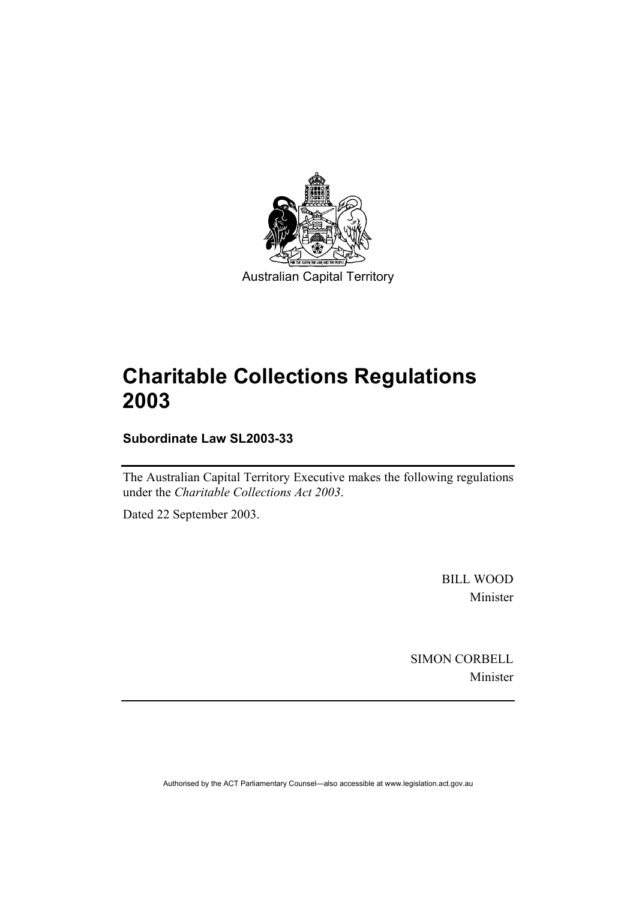

Australian Capital Territory

# **Charitable Collections Regulations 2003**

**Subordinate Law SL2003-33** 

The Australian Capital Territory Executive makes the following regulations under the *Charitable Collections Act 2003*.

Dated 22 September 2003.

BILL WOOD Minister

SIMON CORBELL Minister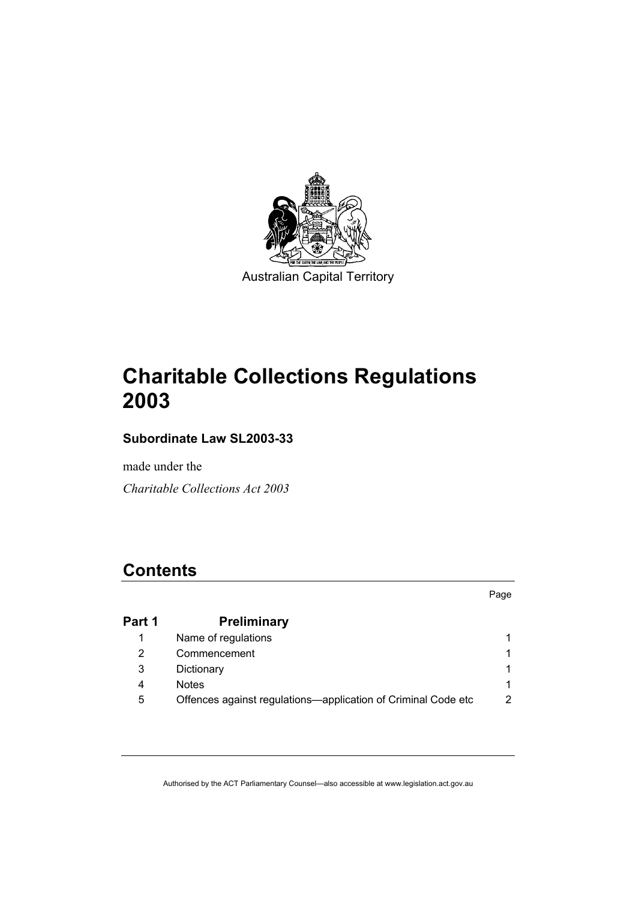

Australian Capital Territory

# **Charitable Collections Regulations 2003**

### **Subordinate Law SL2003-33**

made under the

*Charitable Collections Act 2003* 

### **Contents**

Page

| Part 1 | <b>Preliminary</b>                                            |   |
|--------|---------------------------------------------------------------|---|
|        | Name of regulations                                           |   |
|        | Commencement                                                  |   |
| 3      | Dictionary                                                    |   |
| 4      | <b>Notes</b>                                                  |   |
| 5      | Offences against regulations—application of Criminal Code etc | 2 |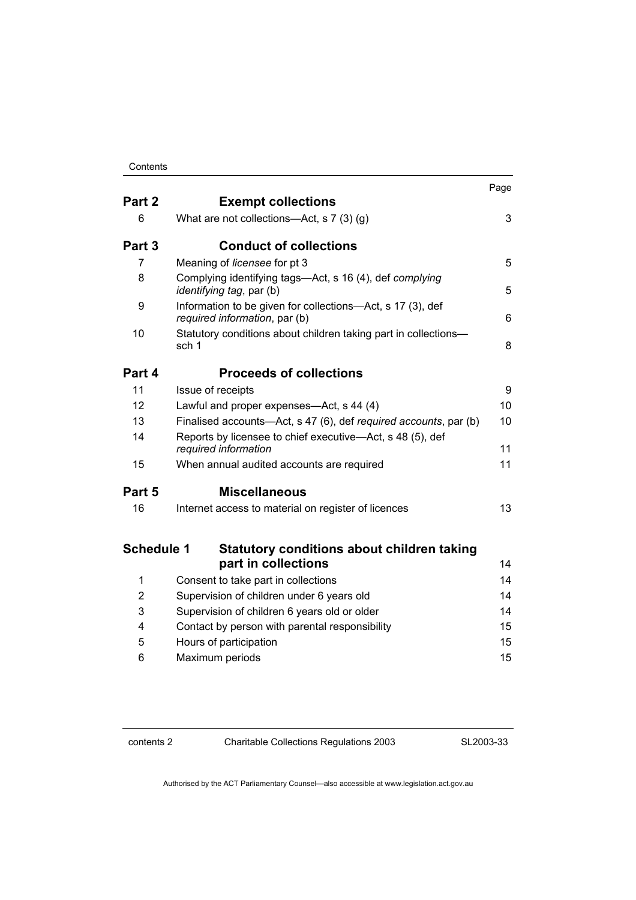#### Contents

|                   |                                                                                             | Page |
|-------------------|---------------------------------------------------------------------------------------------|------|
| Part 2            | <b>Exempt collections</b>                                                                   |      |
| 6                 | What are not collections—Act, s $7(3)(g)$                                                   | 3    |
| Part 3            | <b>Conduct of collections</b>                                                               |      |
| 7                 | Meaning of licensee for pt 3                                                                | 5    |
| 8                 | Complying identifying tags—Act, s 16 (4), def complying<br><i>identifying tag, par (b)</i>  | 5    |
| 9                 | Information to be given for collections-Act, s 17 (3), def<br>required information, par (b) | 6    |
| 10                | Statutory conditions about children taking part in collections-<br>sch 1                    | 8    |
| Part 4            | <b>Proceeds of collections</b>                                                              |      |
| 11                | Issue of receipts                                                                           | 9    |
| 12                | Lawful and proper expenses-Act, s 44 (4)                                                    | 10   |
| 13                | Finalised accounts-Act, s 47 (6), def required accounts, par (b)                            | 10   |
| 14                | Reports by licensee to chief executive—Act, s 48 (5), def<br>required information           | 11   |
| 15                | When annual audited accounts are required                                                   | 11   |
| Part 5            | <b>Miscellaneous</b>                                                                        |      |
| 16                | Internet access to material on register of licences                                         | 13   |
| <b>Schedule 1</b> | <b>Statutory conditions about children taking</b>                                           |      |
|                   | part in collections                                                                         | 14   |
| 1                 | Consent to take part in collections                                                         | 14   |
| 2                 | Supervision of children under 6 years old                                                   | 14   |
| 3                 | Supervision of children 6 years old or older                                                | 14   |
| 4                 | Contact by person with parental responsibility                                              | 15   |
| 5                 | Hours of participation                                                                      | 15   |
| 6                 | Maximum periods                                                                             | 15   |

contents 2 Charitable Collections Regulations 2003

SL2003-33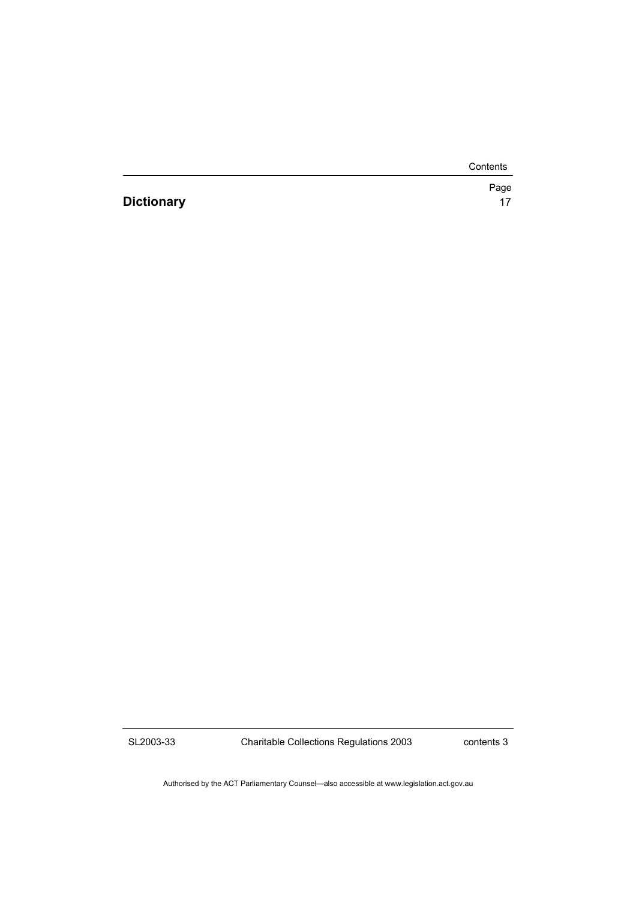Contents

**Dictionary** 17

Page

SL2003-33

Charitable Collections Regulations 2003

contents 3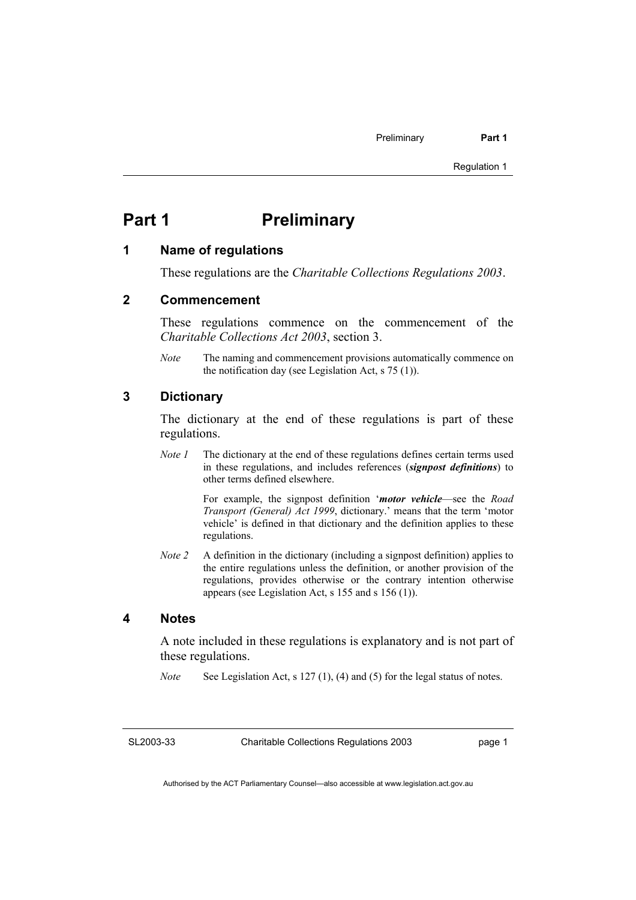### **Part 1** Preliminary

#### **1 Name of regulations**

These regulations are the *Charitable Collections Regulations 2003*.

#### **2 Commencement**

These regulations commence on the commencement of the *Charitable Collections Act 2003*, section 3.

*Note* The naming and commencement provisions automatically commence on the notification day (see Legislation Act, s 75 (1)).

### **3 Dictionary**

The dictionary at the end of these regulations is part of these regulations.

*Note 1* The dictionary at the end of these regulations defines certain terms used in these regulations, and includes references (*signpost definitions*) to other terms defined elsewhere.

> For example, the signpost definition '*motor vehicle*—see the *Road Transport (General) Act 1999*, dictionary.' means that the term 'motor vehicle' is defined in that dictionary and the definition applies to these regulations.

*Note 2* A definition in the dictionary (including a signpost definition) applies to the entire regulations unless the definition, or another provision of the regulations, provides otherwise or the contrary intention otherwise appears (see Legislation Act, s 155 and s 156 (1)).

#### **4 Notes**

A note included in these regulations is explanatory and is not part of these regulations.

*Note* See Legislation Act, s 127 (1), (4) and (5) for the legal status of notes.

SL2003-33

Charitable Collections Regulations 2003

page 1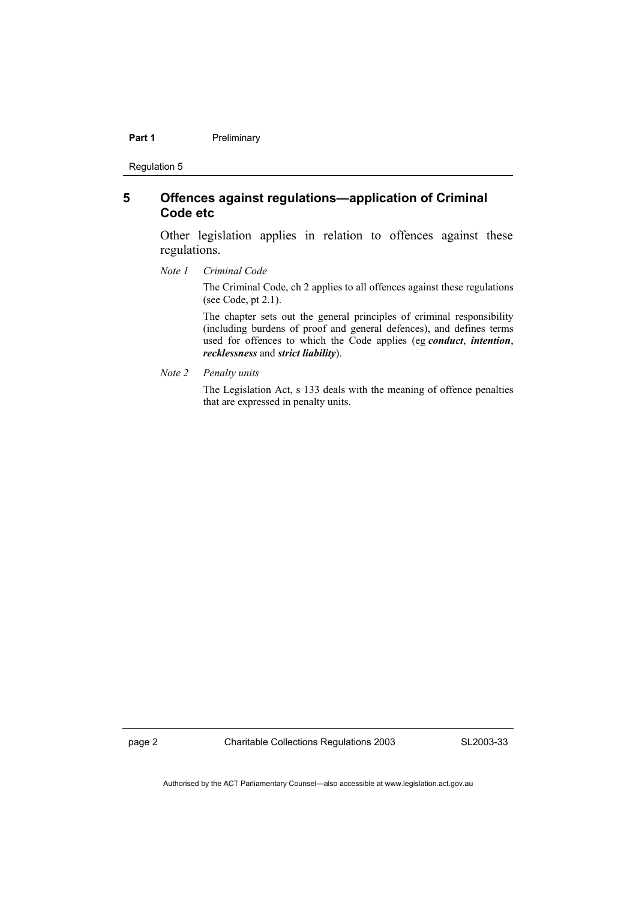#### **Part 1** Preliminary

Regulation 5

#### **5 Offences against regulations—application of Criminal Code etc**

Other legislation applies in relation to offences against these regulations.

*Note 1 Criminal Code*

The Criminal Code, ch 2 applies to all offences against these regulations (see Code, pt 2.1).

The chapter sets out the general principles of criminal responsibility (including burdens of proof and general defences), and defines terms used for offences to which the Code applies (eg *conduct*, *intention*, *recklessness* and *strict liability*).

*Note 2 Penalty units* 

The Legislation Act, s 133 deals with the meaning of offence penalties that are expressed in penalty units.

page 2 Charitable Collections Regulations 2003

SL2003-33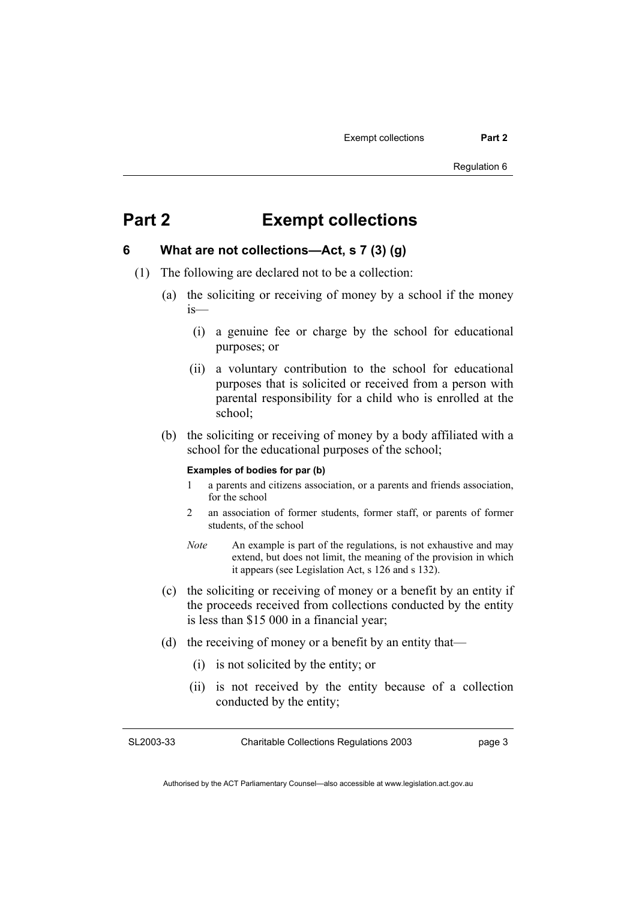### **Part 2 Exempt collections**

#### **6 What are not collections—Act, s 7 (3) (g)**

- (1) The following are declared not to be a collection:
	- (a) the soliciting or receiving of money by a school if the money is—
		- (i) a genuine fee or charge by the school for educational purposes; or
		- (ii) a voluntary contribution to the school for educational purposes that is solicited or received from a person with parental responsibility for a child who is enrolled at the school;
	- (b) the soliciting or receiving of money by a body affiliated with a school for the educational purposes of the school;

#### **Examples of bodies for par (b)**

- 1 a parents and citizens association, or a parents and friends association, for the school
- 2 an association of former students, former staff, or parents of former students, of the school
- *Note* An example is part of the regulations, is not exhaustive and may extend, but does not limit, the meaning of the provision in which it appears (see Legislation Act, s 126 and s 132).
- (c) the soliciting or receiving of money or a benefit by an entity if the proceeds received from collections conducted by the entity is less than \$15 000 in a financial year;
- (d) the receiving of money or a benefit by an entity that—
	- (i) is not solicited by the entity; or
	- (ii) is not received by the entity because of a collection conducted by the entity;

SL2003-33

Charitable Collections Regulations 2003

page 3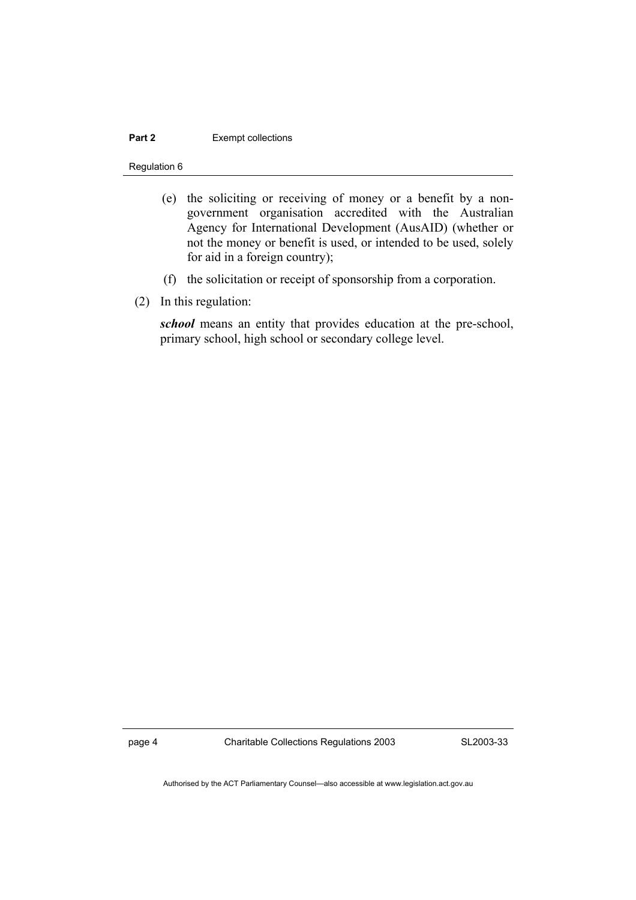#### **Part 2 Exempt collections**

Regulation 6

- (e) the soliciting or receiving of money or a benefit by a nongovernment organisation accredited with the Australian Agency for International Development (AusAID) (whether or not the money or benefit is used, or intended to be used, solely for aid in a foreign country);
- (f) the solicitation or receipt of sponsorship from a corporation.
- (2) In this regulation:

*school* means an entity that provides education at the pre-school, primary school, high school or secondary college level.

page 4 Charitable Collections Regulations 2003

SL2003-33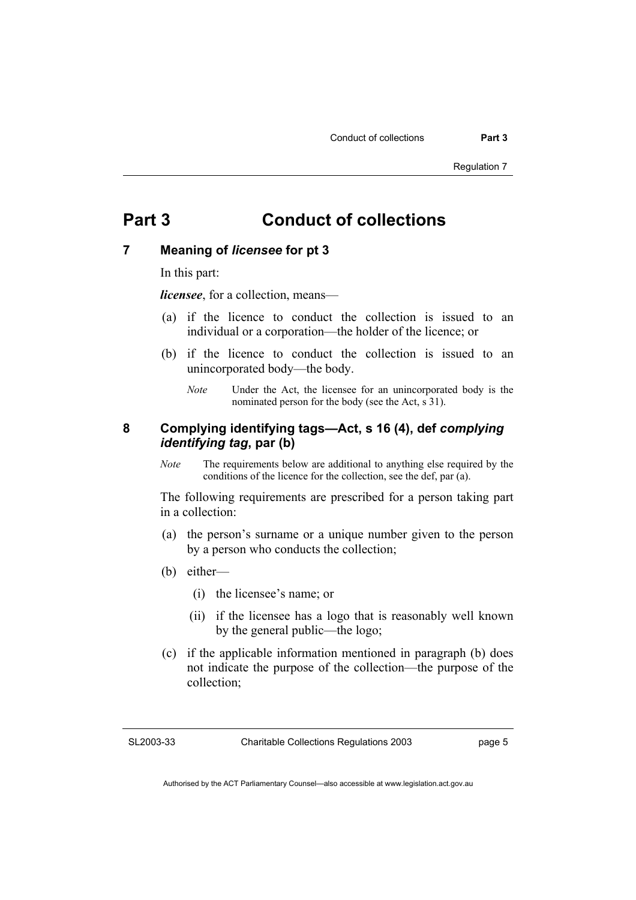### **Part 3 Conduct of collections**

#### **7 Meaning of** *licensee* **for pt 3**

In this part:

*licensee*, for a collection, means—

- (a) if the licence to conduct the collection is issued to an individual or a corporation—the holder of the licence; or
- (b) if the licence to conduct the collection is issued to an unincorporated body—the body.
	- *Note* Under the Act, the licensee for an unincorporated body is the nominated person for the body (see the Act, s 31).

#### **8 Complying identifying tags—Act, s 16 (4), def** *complying identifying tag***, par (b)**

*Note* The requirements below are additional to anything else required by the conditions of the licence for the collection, see the def, par (a).

The following requirements are prescribed for a person taking part in a collection:

- (a) the person's surname or a unique number given to the person by a person who conducts the collection;
- (b) either—
	- (i) the licensee's name; or
	- (ii) if the licensee has a logo that is reasonably well known by the general public—the logo;
- (c) if the applicable information mentioned in paragraph (b) does not indicate the purpose of the collection—the purpose of the collection;

SL2003-33

Charitable Collections Regulations 2003

page 5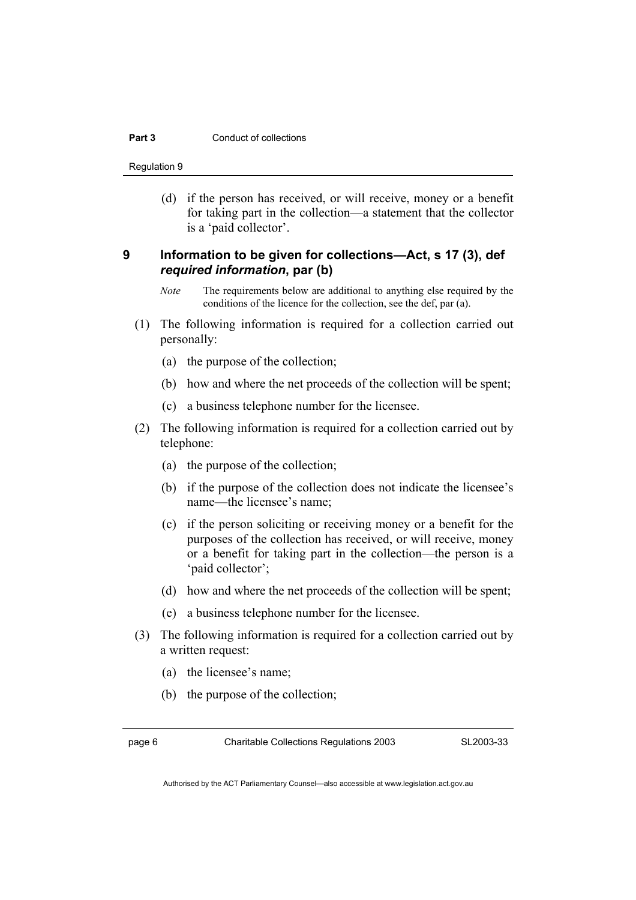#### **Part 3 Conduct of collections**

Regulation 9

 (d) if the person has received, or will receive, money or a benefit for taking part in the collection—a statement that the collector is a 'paid collector'.

#### **9 Information to be given for collections—Act, s 17 (3), def**  *required information***, par (b)**

- *Note* The requirements below are additional to anything else required by the conditions of the licence for the collection, see the def, par (a).
- (1) The following information is required for a collection carried out personally:
	- (a) the purpose of the collection;
	- (b) how and where the net proceeds of the collection will be spent;
	- (c) a business telephone number for the licensee.
- (2) The following information is required for a collection carried out by telephone:
	- (a) the purpose of the collection;
	- (b) if the purpose of the collection does not indicate the licensee's name—the licensee's name;
	- (c) if the person soliciting or receiving money or a benefit for the purposes of the collection has received, or will receive, money or a benefit for taking part in the collection—the person is a 'paid collector';
	- (d) how and where the net proceeds of the collection will be spent;
	- (e) a business telephone number for the licensee.
- (3) The following information is required for a collection carried out by a written request:
	- (a) the licensee's name;
	- (b) the purpose of the collection;

page 6 Charitable Collections Regulations 2003

SL2003-33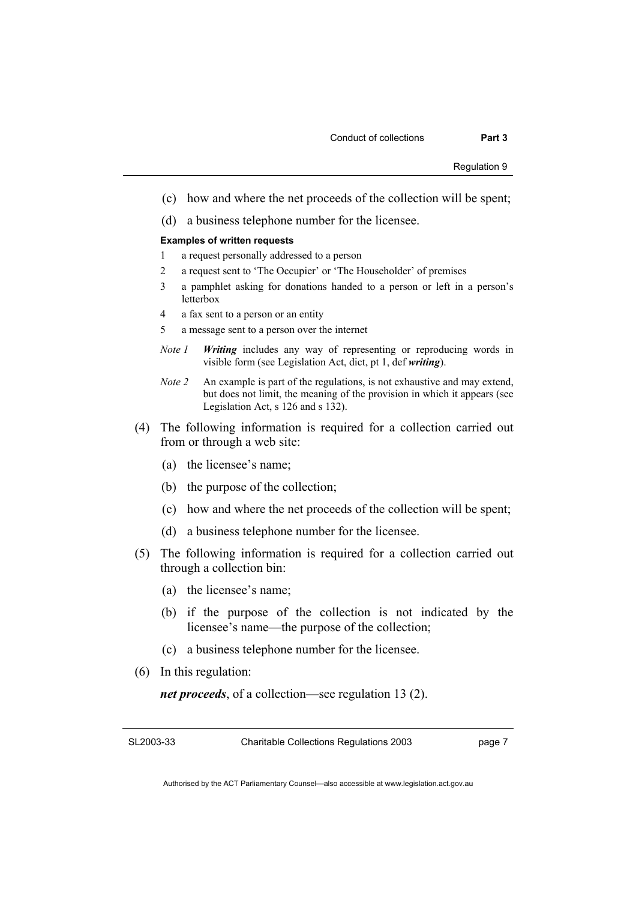- (c) how and where the net proceeds of the collection will be spent;
- (d) a business telephone number for the licensee.

#### **Examples of written requests**

- 1 a request personally addressed to a person
- 2 a request sent to 'The Occupier' or 'The Householder' of premises
- 3 a pamphlet asking for donations handed to a person or left in a person's letterbox
- 4 a fax sent to a person or an entity
- 5 a message sent to a person over the internet
- *Note 1 Writing* includes any way of representing or reproducing words in visible form (see Legislation Act, dict, pt 1, def *writing*).
- *Note 2* An example is part of the regulations, is not exhaustive and may extend, but does not limit, the meaning of the provision in which it appears (see Legislation Act, s 126 and s 132).
- (4) The following information is required for a collection carried out from or through a web site:
	- (a) the licensee's name;
	- (b) the purpose of the collection;
	- (c) how and where the net proceeds of the collection will be spent;
	- (d) a business telephone number for the licensee.
- (5) The following information is required for a collection carried out through a collection bin:
	- (a) the licensee's name;
	- (b) if the purpose of the collection is not indicated by the licensee's name—the purpose of the collection;
	- (c) a business telephone number for the licensee.
- (6) In this regulation:

*net proceeds*, of a collection—see regulation 13 (2).

SL2003-33

Charitable Collections Regulations 2003

page 7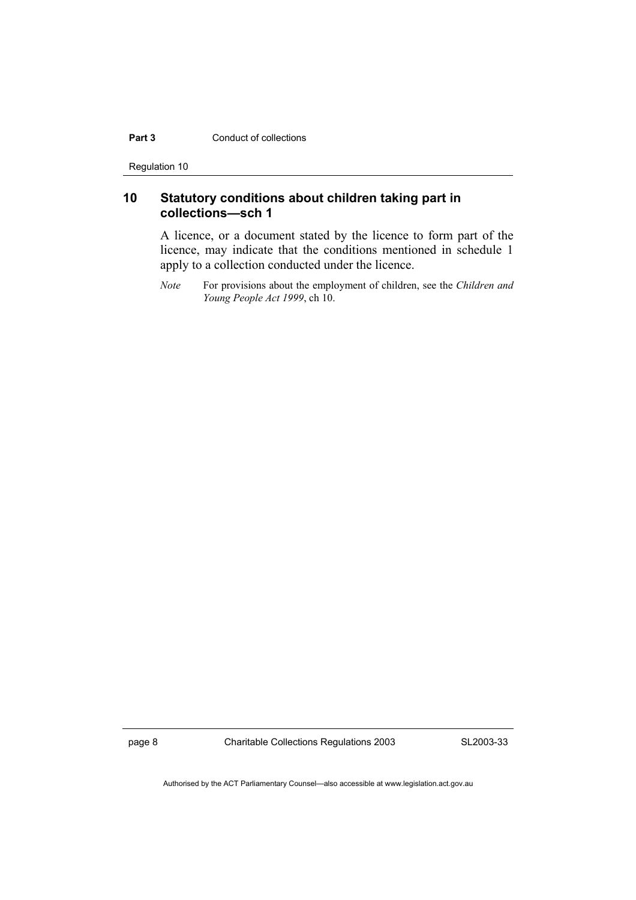#### **Part 3** Conduct of collections

Regulation 10

### **10 Statutory conditions about children taking part in collections—sch 1**

A licence, or a document stated by the licence to form part of the licence, may indicate that the conditions mentioned in schedule 1 apply to a collection conducted under the licence.

*Note* For provisions about the employment of children, see the *Children and Young People Act 1999*, ch 10.

page 8 Charitable Collections Regulations 2003

SL2003-33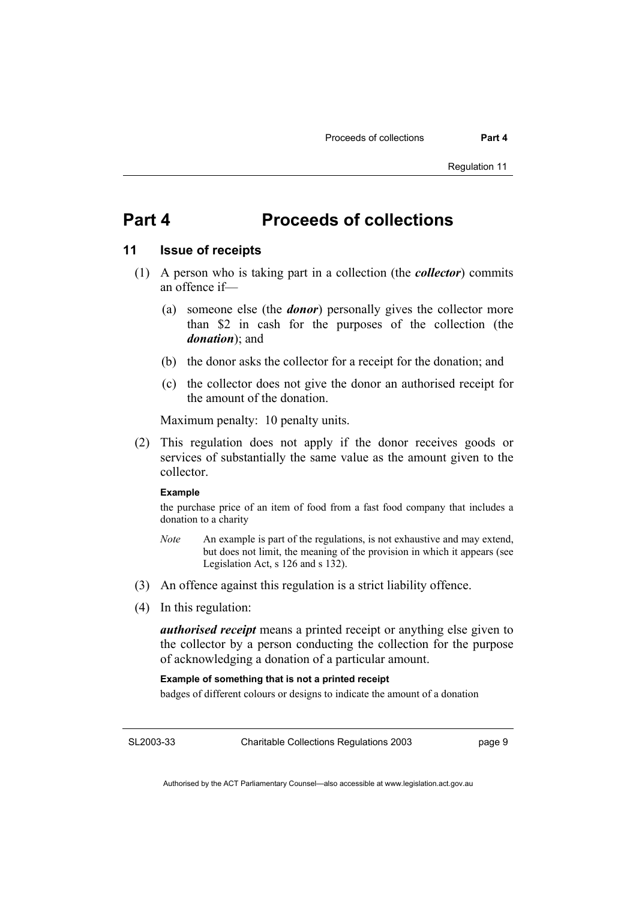### **Part 4 Proceeds of collections**

#### **11 Issue of receipts**

- (1) A person who is taking part in a collection (the *collector*) commits an offence if—
	- (a) someone else (the *donor*) personally gives the collector more than \$2 in cash for the purposes of the collection (the *donation*); and
	- (b) the donor asks the collector for a receipt for the donation; and
	- (c) the collector does not give the donor an authorised receipt for the amount of the donation.

Maximum penalty: 10 penalty units.

 (2) This regulation does not apply if the donor receives goods or services of substantially the same value as the amount given to the collector.

#### **Example**

the purchase price of an item of food from a fast food company that includes a donation to a charity

- *Note* An example is part of the regulations, is not exhaustive and may extend, but does not limit, the meaning of the provision in which it appears (see Legislation Act, s 126 and s 132).
- (3) An offence against this regulation is a strict liability offence.
- (4) In this regulation:

*authorised receipt* means a printed receipt or anything else given to the collector by a person conducting the collection for the purpose of acknowledging a donation of a particular amount.

#### **Example of something that is not a printed receipt**

badges of different colours or designs to indicate the amount of a donation

SL2003-33

Charitable Collections Regulations 2003

page 9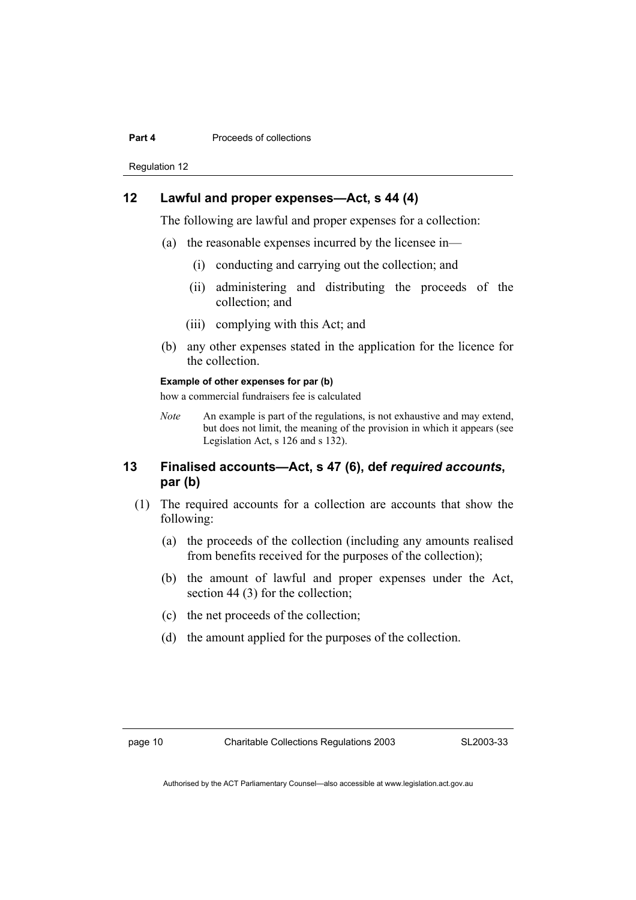#### **Part 4 Proceeds of collections**

Regulation 12

#### **12 Lawful and proper expenses—Act, s 44 (4)**

The following are lawful and proper expenses for a collection:

- (a) the reasonable expenses incurred by the licensee in—
	- (i) conducting and carrying out the collection; and
	- (ii) administering and distributing the proceeds of the collection; and
	- (iii) complying with this Act; and
- (b) any other expenses stated in the application for the licence for the collection.

#### **Example of other expenses for par (b)**

how a commercial fundraisers fee is calculated

*Note* An example is part of the regulations, is not exhaustive and may extend, but does not limit, the meaning of the provision in which it appears (see Legislation Act, s 126 and s 132).

#### **13 Finalised accounts—Act, s 47 (6), def** *required accounts***, par (b)**

- (1) The required accounts for a collection are accounts that show the following:
	- (a) the proceeds of the collection (including any amounts realised from benefits received for the purposes of the collection);
	- (b) the amount of lawful and proper expenses under the Act, section 44 (3) for the collection;
	- (c) the net proceeds of the collection;
	- (d) the amount applied for the purposes of the collection.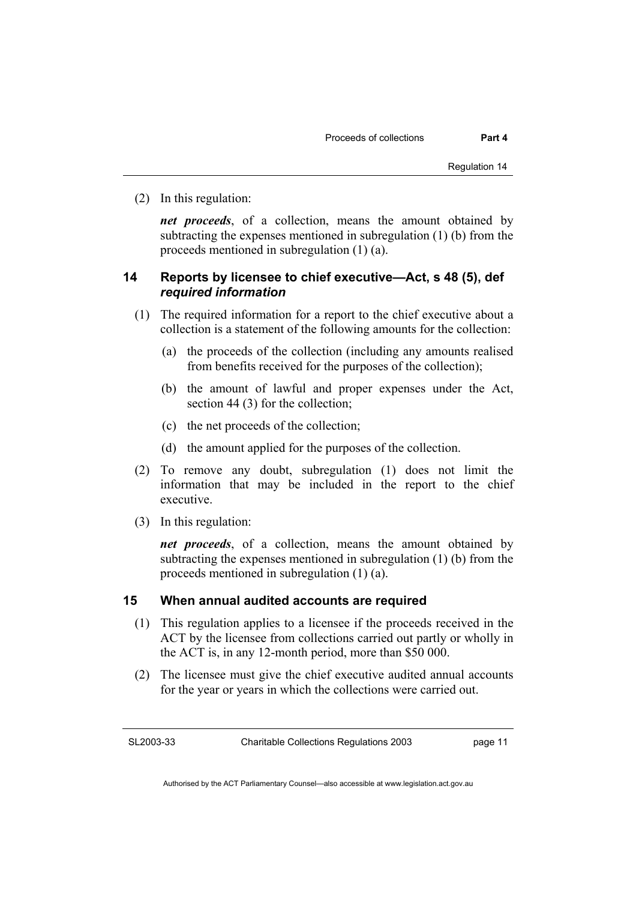(2) In this regulation:

*net proceeds*, of a collection, means the amount obtained by subtracting the expenses mentioned in subregulation (1) (b) from the proceeds mentioned in subregulation (1) (a).

#### **14 Reports by licensee to chief executive—Act, s 48 (5), def**  *required information*

- (1) The required information for a report to the chief executive about a collection is a statement of the following amounts for the collection:
	- (a) the proceeds of the collection (including any amounts realised from benefits received for the purposes of the collection);
	- (b) the amount of lawful and proper expenses under the Act, section 44 (3) for the collection;
	- (c) the net proceeds of the collection;
	- (d) the amount applied for the purposes of the collection.
- (2) To remove any doubt, subregulation (1) does not limit the information that may be included in the report to the chief executive.
- (3) In this regulation:

*net proceeds*, of a collection, means the amount obtained by subtracting the expenses mentioned in subregulation (1) (b) from the proceeds mentioned in subregulation (1) (a).

#### **15 When annual audited accounts are required**

- (1) This regulation applies to a licensee if the proceeds received in the ACT by the licensee from collections carried out partly or wholly in the ACT is, in any 12-month period, more than \$50 000.
- (2) The licensee must give the chief executive audited annual accounts for the year or years in which the collections were carried out.

SL2003-33

Charitable Collections Regulations 2003

page 11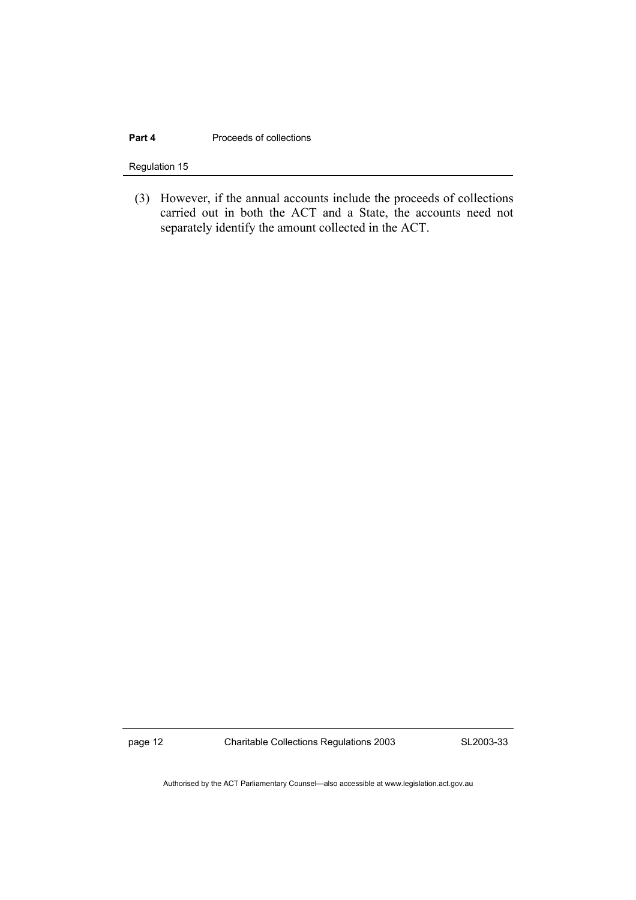#### **Part 4** Proceeds of collections

Regulation 15

 (3) However, if the annual accounts include the proceeds of collections carried out in both the ACT and a State, the accounts need not separately identify the amount collected in the ACT.

page 12 Charitable Collections Regulations 2003

SL2003-33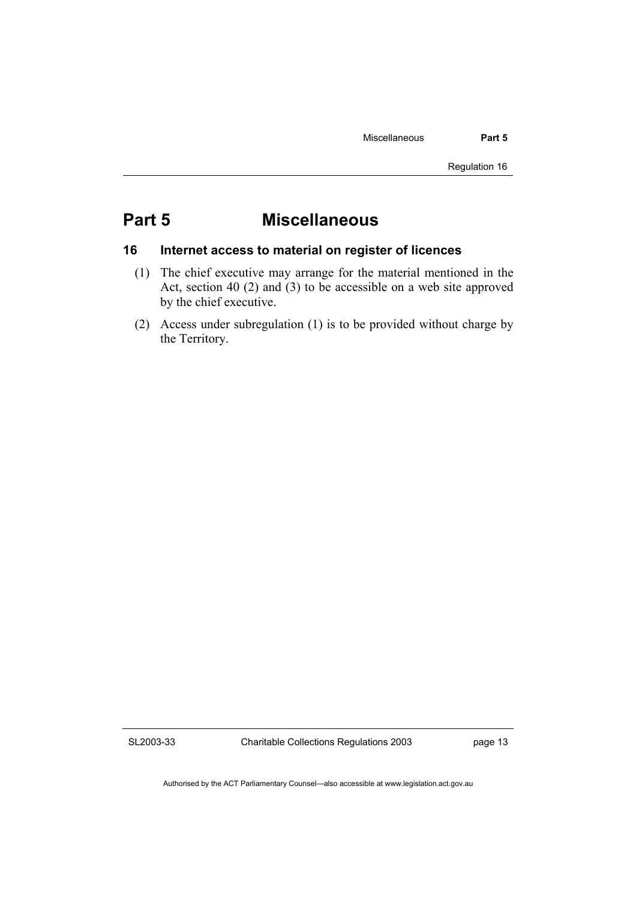### **Part 5 Miscellaneous**

#### **16 Internet access to material on register of licences**

- (1) The chief executive may arrange for the material mentioned in the Act, section 40 (2) and (3) to be accessible on a web site approved by the chief executive.
- (2) Access under subregulation (1) is to be provided without charge by the Territory.

SL2003-33

Charitable Collections Regulations 2003

page 13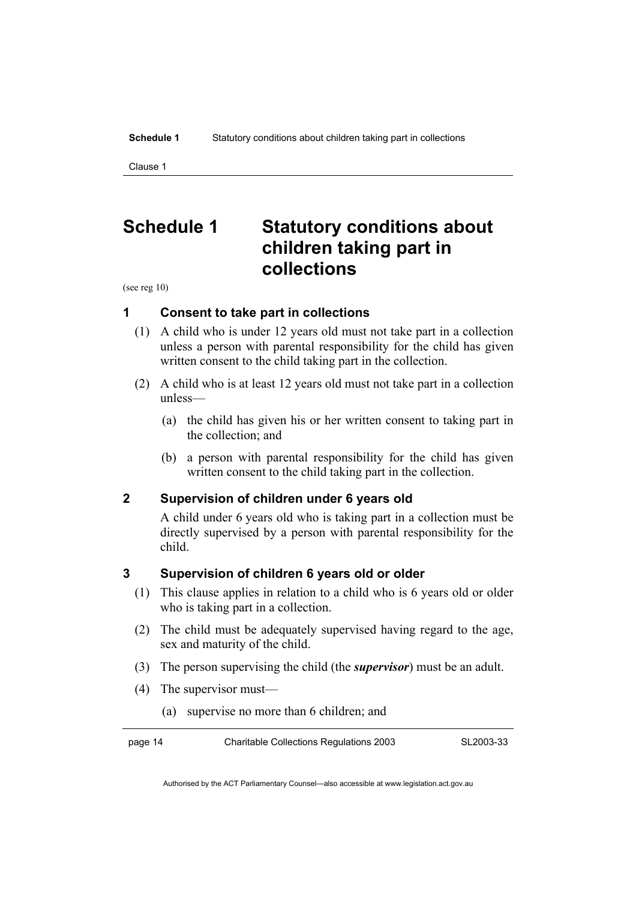Clause 1

## **Schedule 1 Statutory conditions about children taking part in collections**

(see reg 10)

#### **1 Consent to take part in collections**

- (1) A child who is under 12 years old must not take part in a collection unless a person with parental responsibility for the child has given written consent to the child taking part in the collection.
- (2) A child who is at least 12 years old must not take part in a collection unless—
	- (a) the child has given his or her written consent to taking part in the collection; and
	- (b) a person with parental responsibility for the child has given written consent to the child taking part in the collection.

#### **2 Supervision of children under 6 years old**

A child under 6 years old who is taking part in a collection must be directly supervised by a person with parental responsibility for the child.

#### **3 Supervision of children 6 years old or older**

- (1) This clause applies in relation to a child who is 6 years old or older who is taking part in a collection.
- (2) The child must be adequately supervised having regard to the age, sex and maturity of the child.
- (3) The person supervising the child (the *supervisor*) must be an adult.
- (4) The supervisor must—
	- (a) supervise no more than 6 children; and

| page 14 | <b>Charitable Collections Regulations 2003</b> | SL2003-33 |
|---------|------------------------------------------------|-----------|
|         |                                                |           |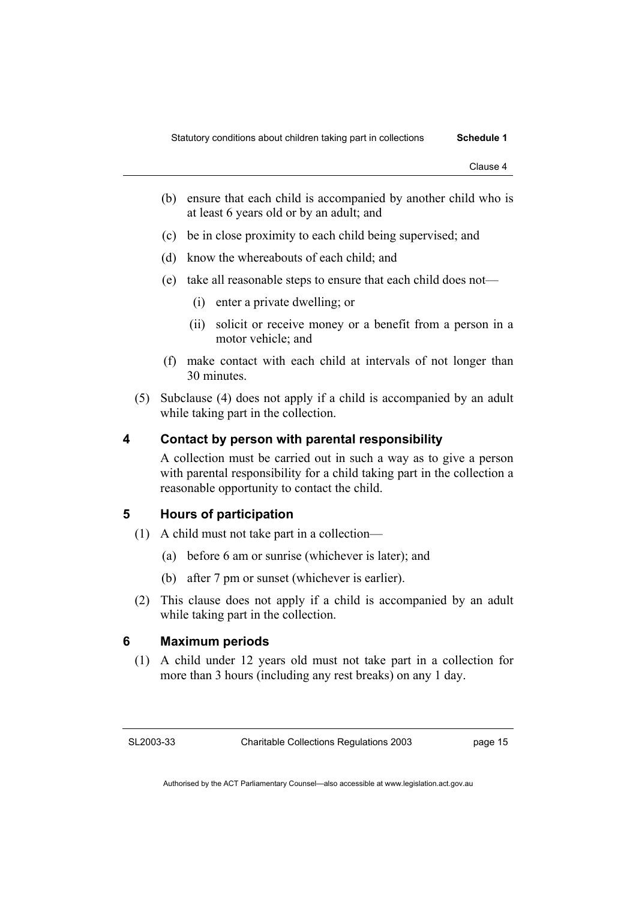- (b) ensure that each child is accompanied by another child who is at least 6 years old or by an adult; and
- (c) be in close proximity to each child being supervised; and
- (d) know the whereabouts of each child; and
- (e) take all reasonable steps to ensure that each child does not—
	- (i) enter a private dwelling; or
	- (ii) solicit or receive money or a benefit from a person in a motor vehicle; and
- (f) make contact with each child at intervals of not longer than 30 minutes.
- (5) Subclause (4) does not apply if a child is accompanied by an adult while taking part in the collection.

#### **4 Contact by person with parental responsibility**

A collection must be carried out in such a way as to give a person with parental responsibility for a child taking part in the collection a reasonable opportunity to contact the child.

#### **5 Hours of participation**

- (1) A child must not take part in a collection—
	- (a) before 6 am or sunrise (whichever is later); and
	- (b) after 7 pm or sunset (whichever is earlier).
- (2) This clause does not apply if a child is accompanied by an adult while taking part in the collection.

#### **6 Maximum periods**

 (1) A child under 12 years old must not take part in a collection for more than 3 hours (including any rest breaks) on any 1 day.

SL2003-33

page 15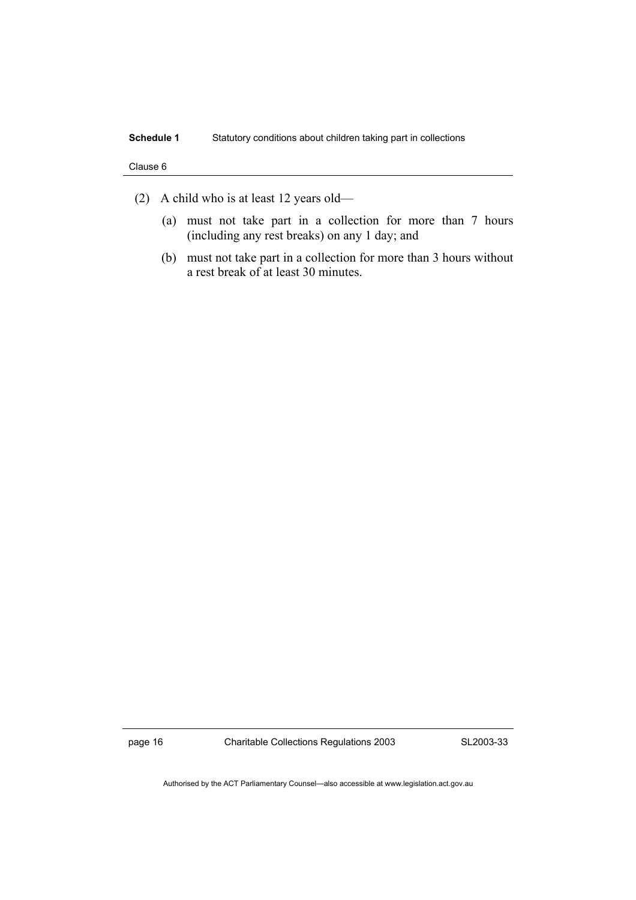#### Clause 6

- (2) A child who is at least 12 years old—
	- (a) must not take part in a collection for more than 7 hours (including any rest breaks) on any 1 day; and
	- (b) must not take part in a collection for more than 3 hours without a rest break of at least 30 minutes.

page 16 Charitable Collections Regulations 2003

SL2003-33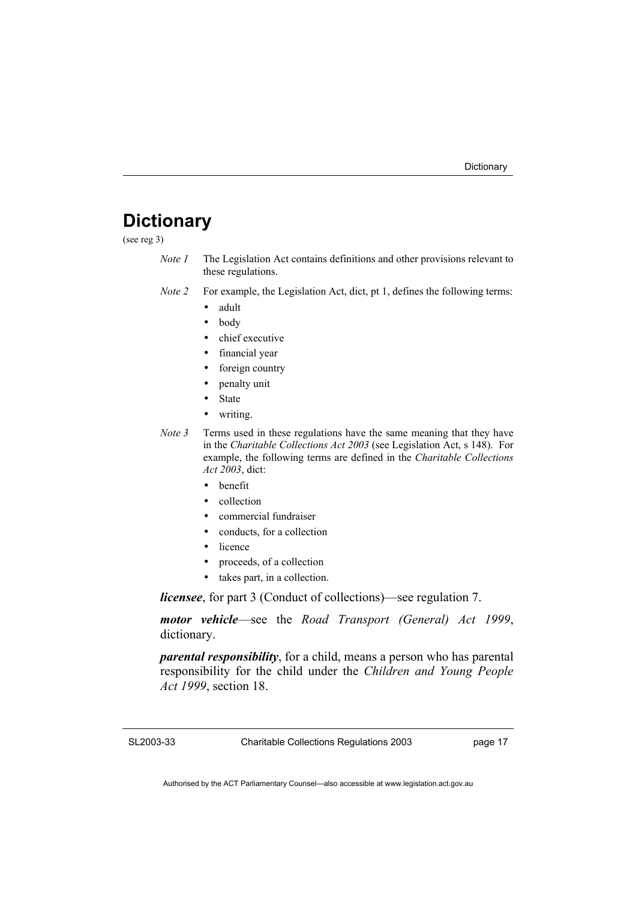### **Dictionary**

(see reg 3)

- *Note 1* The Legislation Act contains definitions and other provisions relevant to these regulations.
- *Note 2* For example, the Legislation Act, dict, pt 1, defines the following terms:
	- adult
	- body
	- chief executive
	- financial year
	- foreign country
	- penalty unit
	- State
	- writing.
- *Note 3* Terms used in these regulations have the same meaning that they have in the *Charitable Collections Act 2003* (see Legislation Act, s 148). For example, the following terms are defined in the *Charitable Collections Act 2003*, dict:
	- benefit
	- collection
	- commercial fundraiser
	- conducts, for a collection
	- licence
	- proceeds, of a collection
	- takes part, in a collection.

*licensee*, for part 3 (Conduct of collections)—see regulation 7.

*motor vehicle*—see the *Road Transport (General) Act 1999*, dictionary.

*parental responsibility*, for a child, means a person who has parental responsibility for the child under the *Children and Young People Act 1999*, section 18.

SL2003-33

Charitable Collections Regulations 2003

page 17